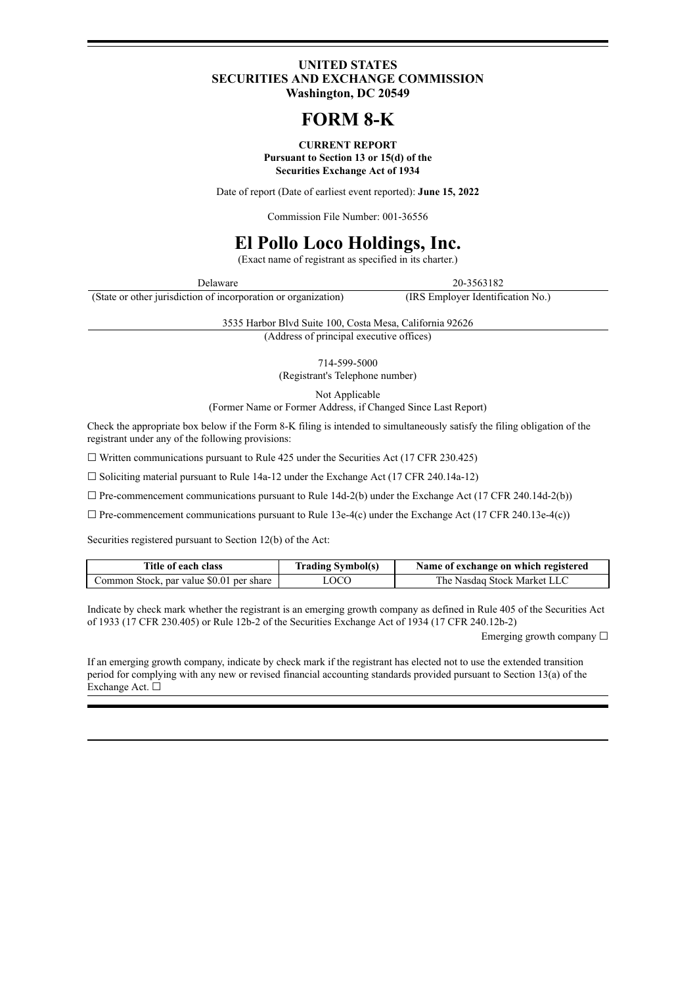#### **UNITED STATES SECURITIES AND EXCHANGE COMMISSION Washington, DC 20549**

# **FORM 8-K**

#### **CURRENT REPORT Pursuant to Section 13 or 15(d) of the Securities Exchange Act of 1934**

Date of report (Date of earliest event reported): **June 15, 2022**

Commission File Number: 001-36556

# **El Pollo Loco Holdings, Inc.**

(Exact name of registrant as specified in its charter.)

Delaware 20-3563182

(State or other jurisdiction of incorporation or organization) (IRS Employer Identification No.)

3535 Harbor Blvd Suite 100, Costa Mesa, California 92626

(Address of principal executive offices)

714-599-5000

(Registrant's Telephone number)

Not Applicable

(Former Name or Former Address, if Changed Since Last Report)

Check the appropriate box below if the Form 8-K filing is intended to simultaneously satisfy the filing obligation of the registrant under any of the following provisions:

 $\Box$  Written communications pursuant to Rule 425 under the Securities Act (17 CFR 230.425)

☐ Soliciting material pursuant to Rule 14a-12 under the Exchange Act (17 CFR 240.14a-12)

 $\Box$  Pre-commencement communications pursuant to Rule 14d-2(b) under the Exchange Act (17 CFR 240.14d-2(b))

 $\Box$  Pre-commencement communications pursuant to Rule 13e-4(c) under the Exchange Act (17 CFR 240.13e-4(c))

Securities registered pursuant to Section 12(b) of the Act:

| Title of each class                      | <b>Trading Symbol(s)</b> | Name of exchange on which registered |
|------------------------------------------|--------------------------|--------------------------------------|
| Common Stock, par value \$0.01 per share | LOCO                     | The Nasdaq Stock Market LLC          |

Indicate by check mark whether the registrant is an emerging growth company as defined in Rule 405 of the Securities Act of 1933 (17 CFR 230.405) or Rule 12b-2 of the Securities Exchange Act of 1934 (17 CFR 240.12b-2)

Emerging growth company  $\Box$ 

If an emerging growth company, indicate by check mark if the registrant has elected not to use the extended transition period for complying with any new or revised financial accounting standards provided pursuant to Section 13(a) of the Exchange Act. ☐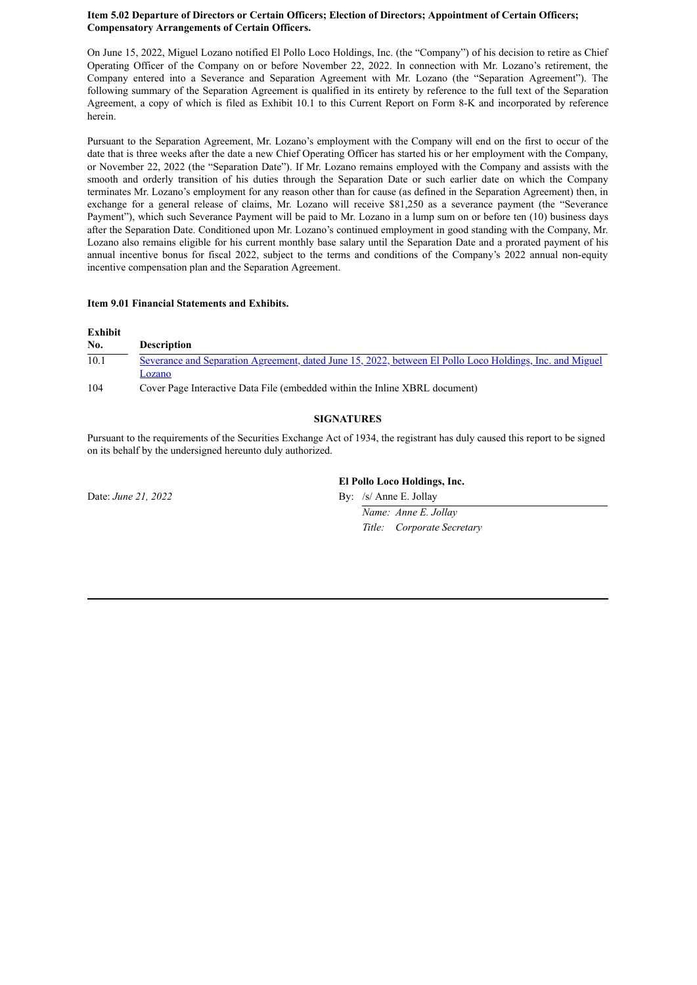#### **Item 5.02 Departure of Directors or Certain Officers; Election of Directors; Appointment of Certain Officers; Compensatory Arrangements of Certain Officers.**

On June 15, 2022, Miguel Lozano notified El Pollo Loco Holdings, Inc. (the "Company") of his decision to retire as Chief Operating Officer of the Company on or before November 22, 2022. In connection with Mr. Lozano's retirement, the Company entered into a Severance and Separation Agreement with Mr. Lozano (the "Separation Agreement"). The following summary of the Separation Agreement is qualified in its entirety by reference to the full text of the Separation Agreement, a copy of which is filed as Exhibit 10.1 to this Current Report on Form 8-K and incorporated by reference herein.

Pursuant to the Separation Agreement, Mr. Lozano's employment with the Company will end on the first to occur of the date that is three weeks after the date a new Chief Operating Officer has started his or her employment with the Company, or November 22, 2022 (the "Separation Date"). If Mr. Lozano remains employed with the Company and assists with the smooth and orderly transition of his duties through the Separation Date or such earlier date on which the Company terminates Mr. Lozano's employment for any reason other than for cause (as defined in the Separation Agreement) then, in exchange for a general release of claims, Mr. Lozano will receive \$81,250 as a severance payment (the "Severance Payment"), which such Severance Payment will be paid to Mr. Lozano in a lump sum on or before ten (10) business days after the Separation Date. Conditioned upon Mr. Lozano's continued employment in good standing with the Company, Mr. Lozano also remains eligible for his current monthly base salary until the Separation Date and a prorated payment of his annual incentive bonus for fiscal 2022, subject to the terms and conditions of the Company's 2022 annual non-equity incentive compensation plan and the Separation Agreement.

#### **Item 9.01 Financial Statements and Exhibits.**

#### **Exhibit**

| No.  | <b>Description</b>                                                                                       |
|------|----------------------------------------------------------------------------------------------------------|
| 10.1 | Severance and Separation Agreement, dated June 15, 2022, between El Pollo Loco Holdings, Inc. and Miguel |
|      | Lozano                                                                                                   |
| 104  | Cover Page Interactive Data File (embedded within the Inline XBRL document)                              |

#### **SIGNATURES**

Pursuant to the requirements of the Securities Exchange Act of 1934, the registrant has duly caused this report to be signed on its behalf by the undersigned hereunto duly authorized.

Date: *June* 21, 2022 By: /s/ Anne E. Jollav

**El Pollo Loco Holdings, Inc.**

*Name: Anne E. Jollay Title: Corporate Secretary*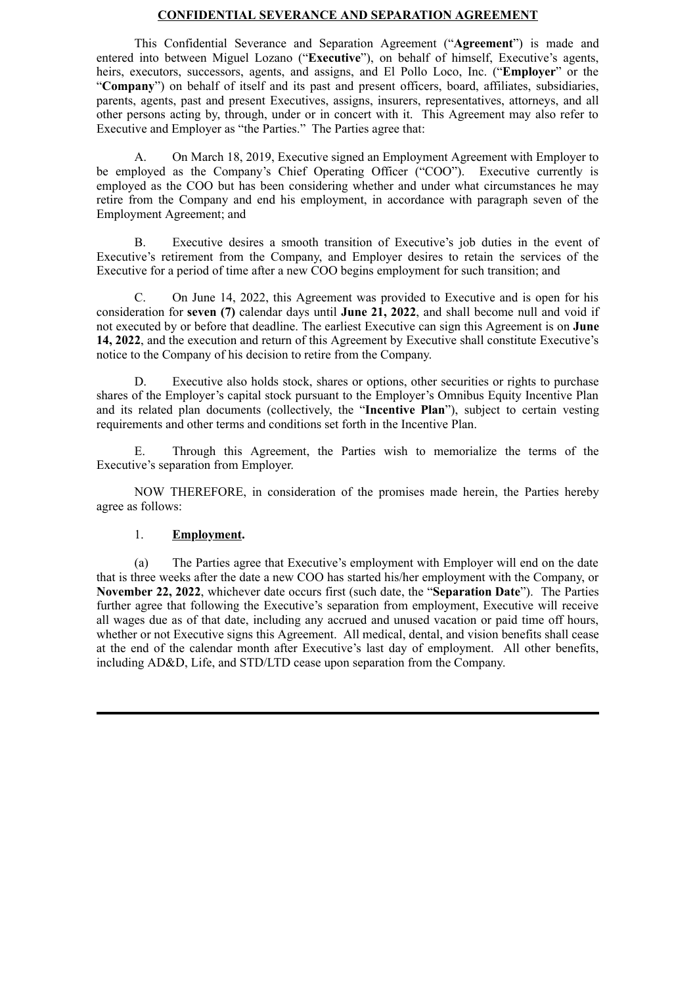#### **CONFIDENTIAL SEVERANCE AND SEPARATION AGREEMENT**

<span id="page-2-0"></span>This Confidential Severance and Separation Agreement ("**Agreement**") is made and entered into between Miguel Lozano ("**Executive**"), on behalf of himself, Executive's agents, heirs, executors, successors, agents, and assigns, and El Pollo Loco, Inc. ("**Employer**" or the "**Company**") on behalf of itself and its past and present officers, board, affiliates, subsidiaries, parents, agents, past and present Executives, assigns, insurers, representatives, attorneys, and all other persons acting by, through, under or in concert with it. This Agreement may also refer to Executive and Employer as "the Parties." The Parties agree that:

A. On March 18, 2019, Executive signed an Employment Agreement with Employer to be employed as the Company's Chief Operating Officer ("COO"). Executive currently is employed as the COO but has been considering whether and under what circumstances he may retire from the Company and end his employment, in accordance with paragraph seven of the Employment Agreement; and

B. Executive desires a smooth transition of Executive's job duties in the event of Executive's retirement from the Company, and Employer desires to retain the services of the Executive for a period of time after a new COO begins employment for such transition; and

C. On June 14, 2022, this Agreement was provided to Executive and is open for his consideration for **seven (7)** calendar days until **June 21, 2022**, and shall become null and void if not executed by or before that deadline. The earliest Executive can sign this Agreement is on **June 14, 2022**, and the execution and return of this Agreement by Executive shall constitute Executive's notice to the Company of his decision to retire from the Company.

D. Executive also holds stock, shares or options, other securities or rights to purchase shares of the Employer's capital stock pursuant to the Employer's Omnibus Equity Incentive Plan and its related plan documents (collectively, the "**Incentive Plan**"), subject to certain vesting requirements and other terms and conditions set forth in the Incentive Plan.

E. Through this Agreement, the Parties wish to memorialize the terms of the Executive's separation from Employer.

NOW THEREFORE, in consideration of the promises made herein, the Parties hereby agree as follows:

#### 1. **Employment.**

(a) The Parties agree that Executive's employment with Employer will end on the date that is three weeks after the date a new COO has started his/her employment with the Company, or **November 22, 2022**, whichever date occurs first (such date, the "**Separation Date**"). The Parties further agree that following the Executive's separation from employment, Executive will receive all wages due as of that date, including any accrued and unused vacation or paid time off hours, whether or not Executive signs this Agreement. All medical, dental, and vision benefits shall cease at the end of the calendar month after Executive's last day of employment. All other benefits, including AD&D, Life, and STD/LTD cease upon separation from the Company.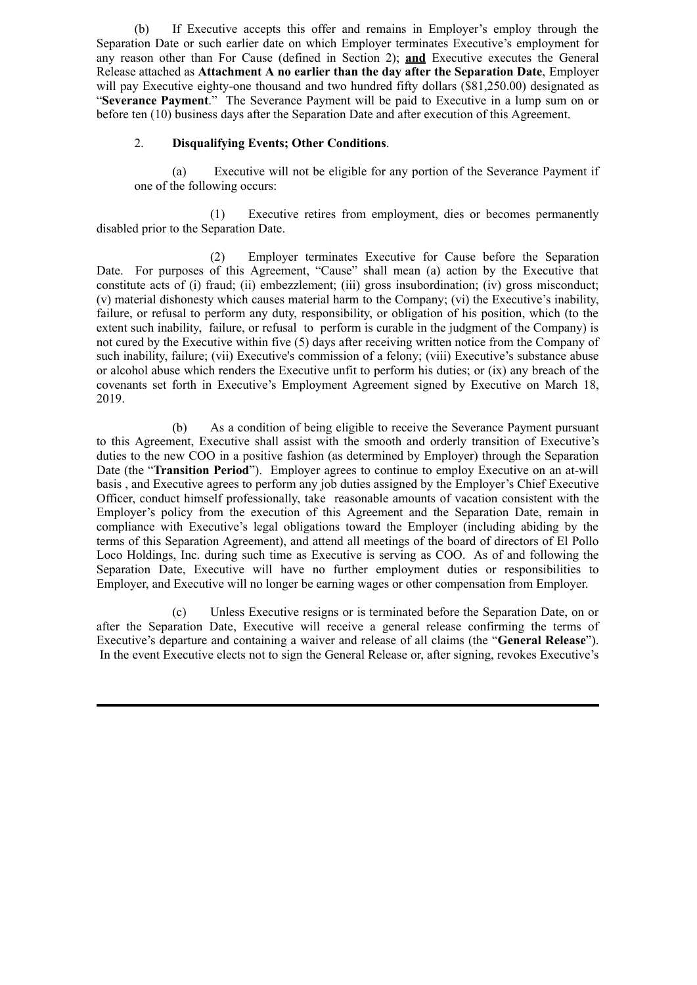(b) If Executive accepts this offer and remains in Employer's employ through the Separation Date or such earlier date on which Employer terminates Executive's employment for any reason other than For Cause (defined in Section 2); **and** Executive executes the General Release attached as **Attachment A no earlier than the day after the Separation Date**, Employer will pay Executive eighty-one thousand and two hundred fifty dollars (\$81,250.00) designated as "**Severance Payment**." The Severance Payment will be paid to Executive in a lump sum on or before ten (10) business days after the Separation Date and after execution of this Agreement.

## 2. **Disqualifying Events; Other Conditions**.

(a) Executive will not be eligible for any portion of the Severance Payment if one of the following occurs:

(1) Executive retires from employment, dies or becomes permanently disabled prior to the Separation Date.

(2) Employer terminates Executive for Cause before the Separation Date. For purposes of this Agreement, "Cause" shall mean (a) action by the Executive that constitute acts of (i) fraud; (ii) embezzlement; (iii) gross insubordination; (iv) gross misconduct; (v) material dishonesty which causes material harm to the Company; (vi) the Executive's inability, failure, or refusal to perform any duty, responsibility, or obligation of his position, which (to the extent such inability, failure, or refusal to perform is curable in the judgment of the Company) is not cured by the Executive within five (5) days after receiving written notice from the Company of such inability, failure; (vii) Executive's commission of a felony; (viii) Executive's substance abuse or alcohol abuse which renders the Executive unfit to perform his duties; or (ix) any breach of the covenants set forth in Executive's Employment Agreement signed by Executive on March 18, 2019.

(b) As a condition of being eligible to receive the Severance Payment pursuant to this Agreement, Executive shall assist with the smooth and orderly transition of Executive's duties to the new COO in a positive fashion (as determined by Employer) through the Separation Date (the "**Transition Period**"). Employer agrees to continue to employ Executive on an at-will basis , and Executive agrees to perform any job duties assigned by the Employer's Chief Executive Officer, conduct himself professionally, take reasonable amounts of vacation consistent with the Employer's policy from the execution of this Agreement and the Separation Date, remain in compliance with Executive's legal obligations toward the Employer (including abiding by the terms of this Separation Agreement), and attend all meetings of the board of directors of El Pollo Loco Holdings, Inc. during such time as Executive is serving as COO. As of and following the Separation Date, Executive will have no further employment duties or responsibilities to Employer, and Executive will no longer be earning wages or other compensation from Employer.

(c) Unless Executive resigns or is terminated before the Separation Date, on or after the Separation Date, Executive will receive a general release confirming the terms of Executive's departure and containing a waiver and release of all claims (the "**General Release**"). In the event Executive elects not to sign the General Release or, after signing, revokes Executive's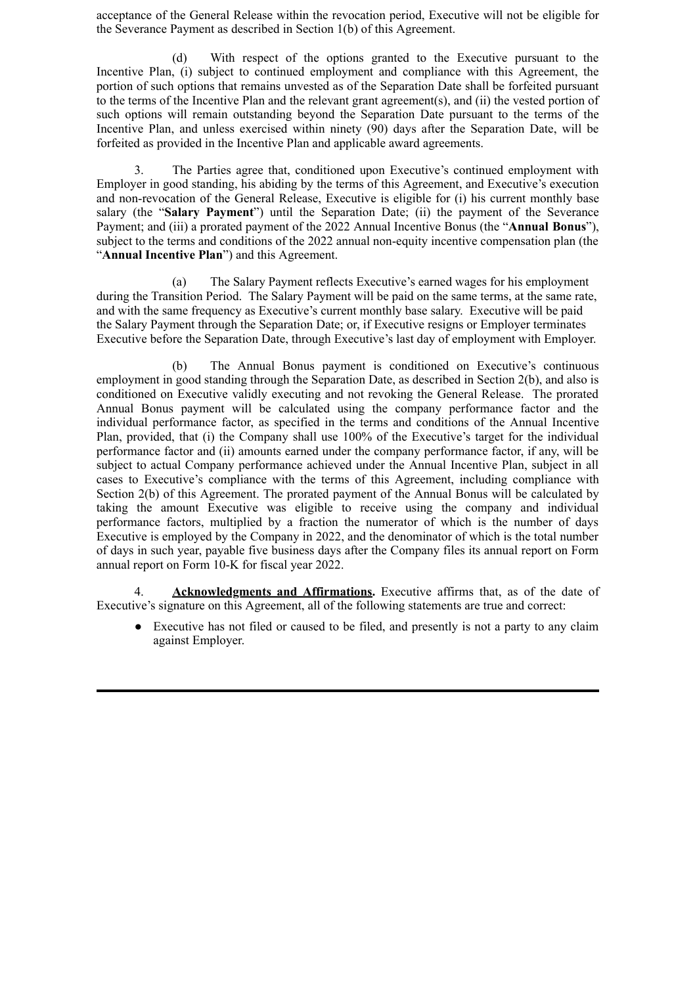acceptance of the General Release within the revocation period, Executive will not be eligible for the Severance Payment as described in Section 1(b) of this Agreement.

(d) With respect of the options granted to the Executive pursuant to the Incentive Plan, (i) subject to continued employment and compliance with this Agreement, the portion of such options that remains unvested as of the Separation Date shall be forfeited pursuant to the terms of the Incentive Plan and the relevant grant agreement(s), and (ii) the vested portion of such options will remain outstanding beyond the Separation Date pursuant to the terms of the Incentive Plan, and unless exercised within ninety (90) days after the Separation Date, will be forfeited as provided in the Incentive Plan and applicable award agreements.

3. The Parties agree that, conditioned upon Executive's continued employment with Employer in good standing, his abiding by the terms of this Agreement, and Executive's execution and non-revocation of the General Release, Executive is eligible for (i) his current monthly base salary (the "**Salary Payment**") until the Separation Date; (ii) the payment of the Severance Payment; and (iii) a prorated payment of the 2022 Annual Incentive Bonus (the "**Annual Bonus**"), subject to the terms and conditions of the 2022 annual non-equity incentive compensation plan (the "**Annual Incentive Plan**") and this Agreement.

(a) The Salary Payment reflects Executive's earned wages for his employment during the Transition Period. The Salary Payment will be paid on the same terms, at the same rate, and with the same frequency as Executive's current monthly base salary. Executive will be paid the Salary Payment through the Separation Date; or, if Executive resigns or Employer terminates Executive before the Separation Date, through Executive's last day of employment with Employer.

(b) The Annual Bonus payment is conditioned on Executive's continuous employment in good standing through the Separation Date, as described in Section 2(b), and also is conditioned on Executive validly executing and not revoking the General Release. The prorated Annual Bonus payment will be calculated using the company performance factor and the individual performance factor, as specified in the terms and conditions of the Annual Incentive Plan, provided, that (i) the Company shall use 100% of the Executive's target for the individual performance factor and (ii) amounts earned under the company performance factor, if any, will be subject to actual Company performance achieved under the Annual Incentive Plan, subject in all cases to Executive's compliance with the terms of this Agreement, including compliance with Section 2(b) of this Agreement. The prorated payment of the Annual Bonus will be calculated by taking the amount Executive was eligible to receive using the company and individual performance factors, multiplied by a fraction the numerator of which is the number of days Executive is employed by the Company in 2022, and the denominator of which is the total number of days in such year, payable five business days after the Company files its annual report on Form annual report on Form 10-K for fiscal year 2022.

Acknowledgments and Affirmations. Executive affirms that, as of the date of Executive's signature on this Agreement, all of the following statements are true and correct:

● Executive has not filed or caused to be filed, and presently is not a party to any claim against Employer.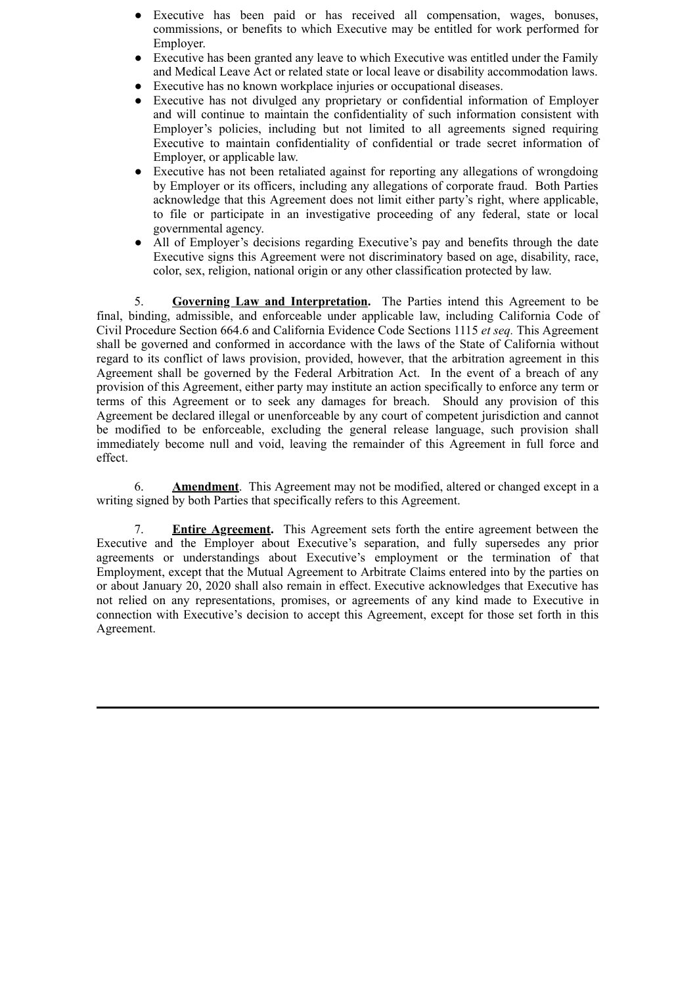- Executive has been paid or has received all compensation, wages, bonuses, commissions, or benefits to which Executive may be entitled for work performed for Employer.
- Executive has been granted any leave to which Executive was entitled under the Family and Medical Leave Act or related state or local leave or disability accommodation laws.
- Executive has no known workplace injuries or occupational diseases.
- Executive has not divulged any proprietary or confidential information of Employer and will continue to maintain the confidentiality of such information consistent with Employer's policies, including but not limited to all agreements signed requiring Executive to maintain confidentiality of confidential or trade secret information of Employer, or applicable law.
- Executive has not been retaliated against for reporting any allegations of wrongdoing by Employer or its officers, including any allegations of corporate fraud. Both Parties acknowledge that this Agreement does not limit either party's right, where applicable, to file or participate in an investigative proceeding of any federal, state or local governmental agency.
- All of Employer's decisions regarding Executive's pay and benefits through the date Executive signs this Agreement were not discriminatory based on age, disability, race, color, sex, religion, national origin or any other classification protected by law.

5. **Governing Law and Interpretation.** The Parties intend this Agreement to be final, binding, admissible, and enforceable under applicable law, including California Code of Civil Procedure Section 664.6 and California Evidence Code Sections 1115 *et seq.* This Agreement shall be governed and conformed in accordance with the laws of the State of California without regard to its conflict of laws provision, provided, however, that the arbitration agreement in this Agreement shall be governed by the Federal Arbitration Act. In the event of a breach of any provision of this Agreement, either party may institute an action specifically to enforce any term or terms of this Agreement or to seek any damages for breach. Should any provision of this Agreement be declared illegal or unenforceable by any court of competent jurisdiction and cannot be modified to be enforceable, excluding the general release language, such provision shall immediately become null and void, leaving the remainder of this Agreement in full force and effect.

6. **Amendment**. This Agreement may not be modified, altered or changed except in a writing signed by both Parties that specifically refers to this Agreement.

7. **Entire Agreement.** This Agreement sets forth the entire agreement between the Executive and the Employer about Executive's separation, and fully supersedes any prior agreements or understandings about Executive's employment or the termination of that Employment, except that the Mutual Agreement to Arbitrate Claims entered into by the parties on or about January 20, 2020 shall also remain in effect. Executive acknowledges that Executive has not relied on any representations, promises, or agreements of any kind made to Executive in connection with Executive's decision to accept this Agreement, except for those set forth in this Agreement.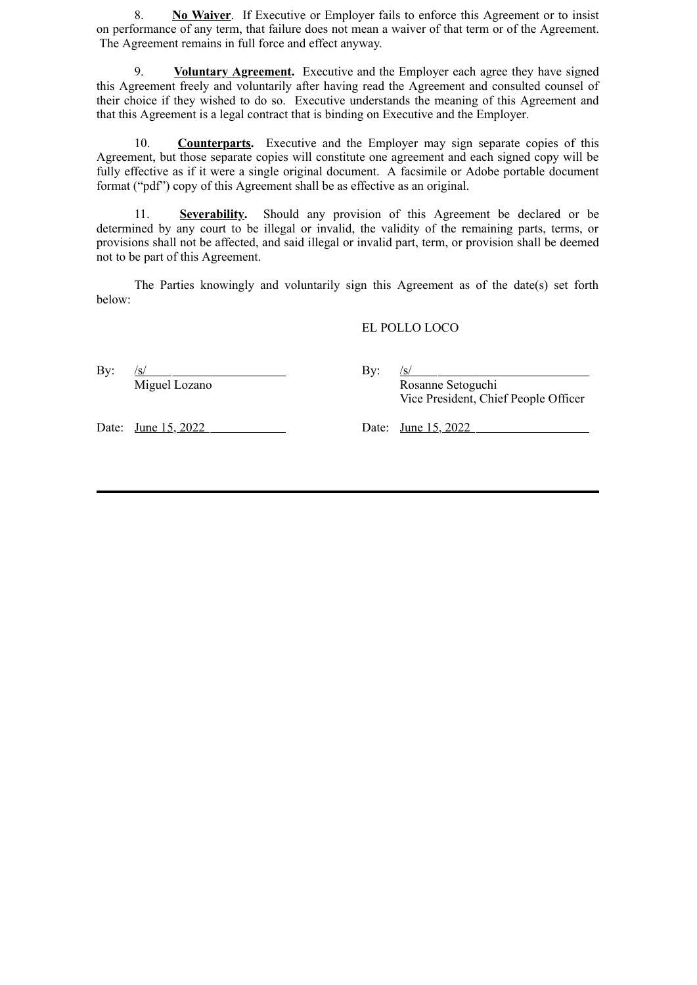8. **No Waiver**. If Executive or Employer fails to enforce this Agreement or to insist on performance of any term, that failure does not mean a waiver of that term or of the Agreement. The Agreement remains in full force and effect anyway.

9. **Voluntary Agreement.** Executive and the Employer each agree they have signed this Agreement freely and voluntarily after having read the Agreement and consulted counsel of their choice if they wished to do so. Executive understands the meaning of this Agreement and that this Agreement is a legal contract that is binding on Executive and the Employer.

10. **Counterparts.** Executive and the Employer may sign separate copies of this Agreement, but those separate copies will constitute one agreement and each signed copy will be fully effective as if it were a single original document. A facsimile or Adobe portable document format ("pdf") copy of this Agreement shall be as effective as an original.

11. **Severability.** Should any provision of this Agreement be declared or be determined by any court to be illegal or invalid, the validity of the remaining parts, terms, or provisions shall not be affected, and said illegal or invalid part, term, or provision shall be deemed not to be part of this Agreement.

The Parties knowingly and voluntarily sign this Agreement as of the date(s) set forth below:

### EL POLLO LOCO

By:  $/s/$  By:  $/s/$ 

Miguel Lozano Rosanne Setoguchi Vice President, Chief People Officer

Date: <u>June 15, 2022</u> Date: June 15, 2022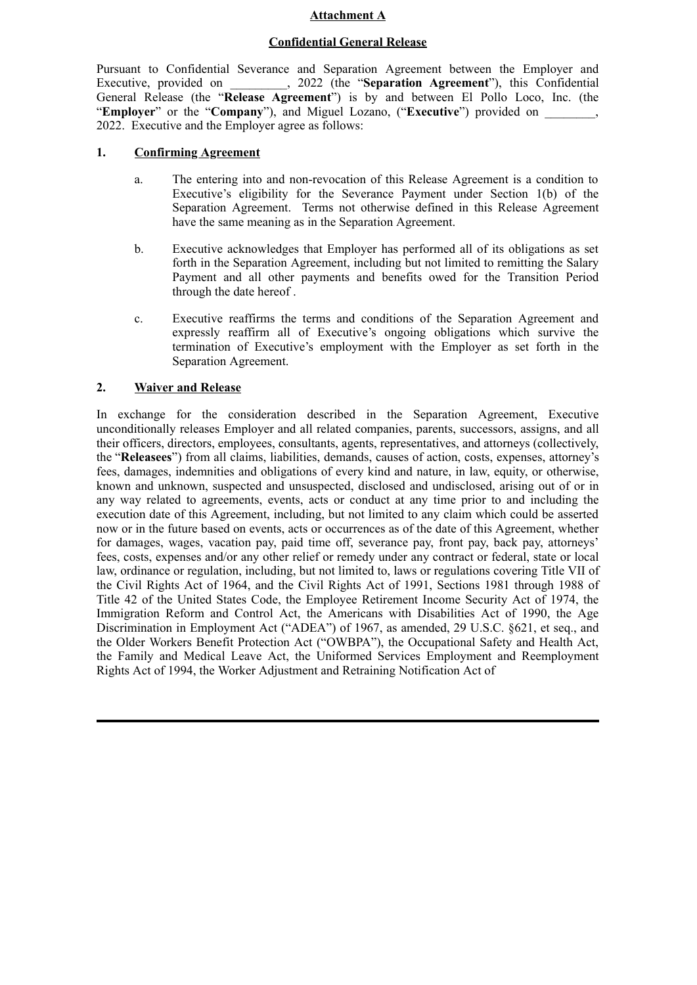### **Attachment A**

#### **Confidential General Release**

Pursuant to Confidential Severance and Separation Agreement between the Employer and Executive, provided on  $2022$  (the "**Separation Agreement**"), this Confidential General Release (the "**Release Agreement**") is by and between El Pollo Loco, Inc. (the "**Employer**" or the "**Company**"), and Miguel Lozano, ("**Executive**") provided on \_\_\_\_\_\_\_\_, 2022. Executive and the Employer agree as follows:

# **1. Confirming Agreement**

- a. The entering into and non-revocation of this Release Agreement is a condition to Executive's eligibility for the Severance Payment under Section 1(b) of the Separation Agreement. Terms not otherwise defined in this Release Agreement have the same meaning as in the Separation Agreement.
- b. Executive acknowledges that Employer has performed all of its obligations as set forth in the Separation Agreement, including but not limited to remitting the Salary Payment and all other payments and benefits owed for the Transition Period through the date hereof .
- c. Executive reaffirms the terms and conditions of the Separation Agreement and expressly reaffirm all of Executive's ongoing obligations which survive the termination of Executive's employment with the Employer as set forth in the Separation Agreement.

# **2. Waiver and Release**

In exchange for the consideration described in the Separation Agreement, Executive unconditionally releases Employer and all related companies, parents, successors, assigns, and all their officers, directors, employees, consultants, agents, representatives, and attorneys (collectively, the "**Releasees**") from all claims, liabilities, demands, causes of action, costs, expenses, attorney's fees, damages, indemnities and obligations of every kind and nature, in law, equity, or otherwise, known and unknown, suspected and unsuspected, disclosed and undisclosed, arising out of or in any way related to agreements, events, acts or conduct at any time prior to and including the execution date of this Agreement, including, but not limited to any claim which could be asserted now or in the future based on events, acts or occurrences as of the date of this Agreement, whether for damages, wages, vacation pay, paid time off, severance pay, front pay, back pay, attorneys' fees, costs, expenses and/or any other relief or remedy under any contract or federal, state or local law, ordinance or regulation, including, but not limited to, laws or regulations covering Title VII of the Civil Rights Act of 1964, and the Civil Rights Act of 1991, Sections 1981 through 1988 of Title 42 of the United States Code, the Employee Retirement Income Security Act of 1974, the Immigration Reform and Control Act, the Americans with Disabilities Act of 1990, the Age Discrimination in Employment Act ("ADEA") of 1967, as amended, 29 U.S.C. §621, et seq., and the Older Workers Benefit Protection Act ("OWBPA"), the Occupational Safety and Health Act, the Family and Medical Leave Act, the Uniformed Services Employment and Reemployment Rights Act of 1994, the Worker Adjustment and Retraining Notification Act of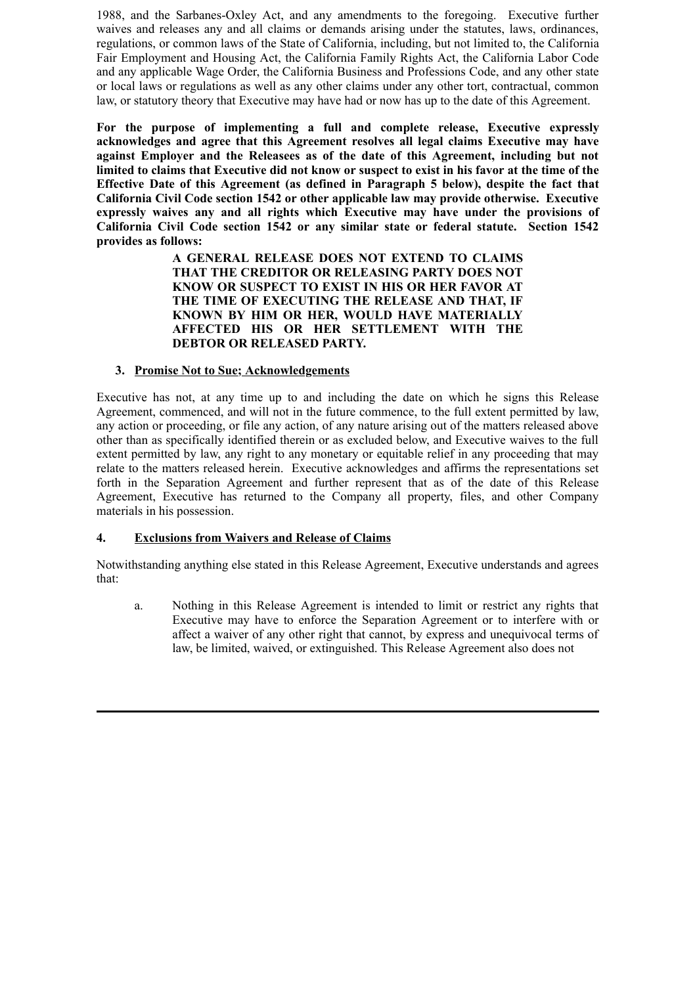1988, and the Sarbanes-Oxley Act, and any amendments to the foregoing. Executive further waives and releases any and all claims or demands arising under the statutes, laws, ordinances, regulations, or common laws of the State of California, including, but not limited to, the California Fair Employment and Housing Act, the California Family Rights Act, the California Labor Code and any applicable Wage Order, the California Business and Professions Code, and any other state or local laws or regulations as well as any other claims under any other tort, contractual, common law, or statutory theory that Executive may have had or now has up to the date of this Agreement.

**For the purpose of implementing a full and complete release, Executive expressly acknowledges and agree that this Agreement resolves all legal claims Executive may have against Employer and the Releasees as of the date of this Agreement, including but not limited to claims that Executive did not know or suspect to exist in his favor at the time of the Effective Date of this Agreement (as defined in Paragraph 5 below), despite the fact that California Civil Code section 1542 or other applicable law may provide otherwise. Executive expressly waives any and all rights which Executive may have under the provisions of California Civil Code section 1542 or any similar state or federal statute. Section 1542 provides as follows:**

> **A GENERAL RELEASE DOES NOT EXTEND TO CLAIMS THAT THE CREDITOR OR RELEASING PARTY DOES NOT KNOW OR SUSPECT TO EXIST IN HIS OR HER FAVOR AT THE TIME OF EXECUTING THE RELEASE AND THAT, IF KNOWN BY HIM OR HER, WOULD HAVE MATERIALLY AFFECTED HIS OR HER SETTLEMENT WITH THE DEBTOR OR RELEASED PARTY.**

## **3. Promise Not to Sue; Acknowledgements**

Executive has not, at any time up to and including the date on which he signs this Release Agreement, commenced, and will not in the future commence, to the full extent permitted by law, any action or proceeding, or file any action, of any nature arising out of the matters released above other than as specifically identified therein or as excluded below, and Executive waives to the full extent permitted by law, any right to any monetary or equitable relief in any proceeding that may relate to the matters released herein. Executive acknowledges and affirms the representations set forth in the Separation Agreement and further represent that as of the date of this Release Agreement, Executive has returned to the Company all property, files, and other Company materials in his possession.

# **4. Exclusions from Waivers and Release of Claims**

Notwithstanding anything else stated in this Release Agreement, Executive understands and agrees that:

a. Nothing in this Release Agreement is intended to limit or restrict any rights that Executive may have to enforce the Separation Agreement or to interfere with or affect a waiver of any other right that cannot, by express and unequivocal terms of law, be limited, waived, or extinguished. This Release Agreement also does not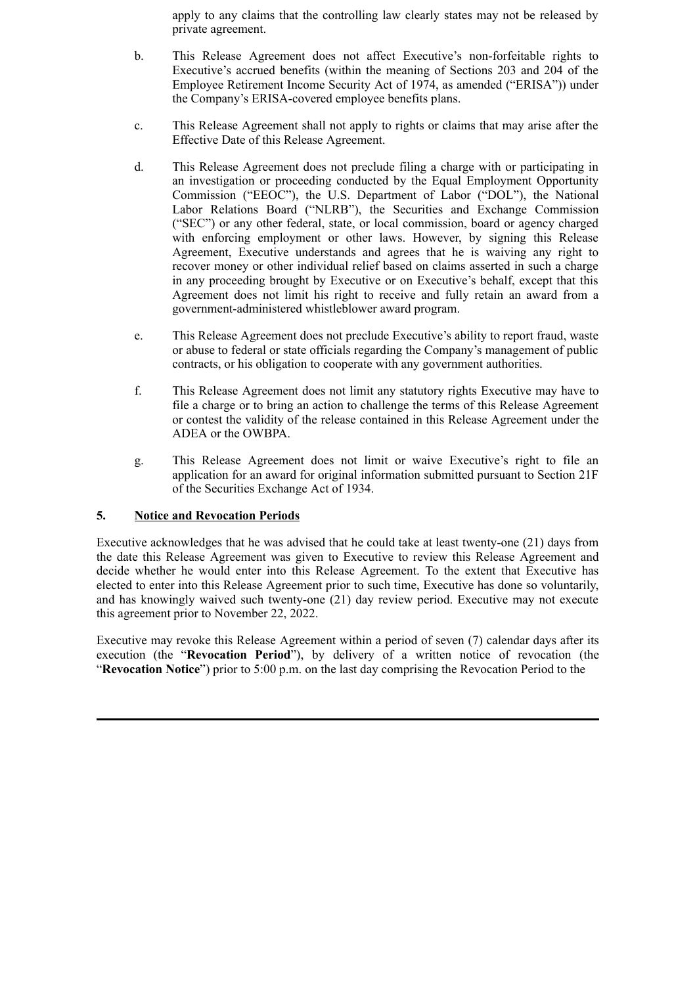apply to any claims that the controlling law clearly states may not be released by private agreement.

- b. This Release Agreement does not affect Executive's non-forfeitable rights to Executive's accrued benefits (within the meaning of Sections 203 and 204 of the Employee Retirement Income Security Act of 1974, as amended ("ERISA")) under the Company's ERISA-covered employee benefits plans.
- c. This Release Agreement shall not apply to rights or claims that may arise after the Effective Date of this Release Agreement.
- d. This Release Agreement does not preclude filing a charge with or participating in an investigation or proceeding conducted by the Equal Employment Opportunity Commission ("EEOC"), the U.S. Department of Labor ("DOL"), the National Labor Relations Board ("NLRB"), the Securities and Exchange Commission ("SEC") or any other federal, state, or local commission, board or agency charged with enforcing employment or other laws. However, by signing this Release Agreement, Executive understands and agrees that he is waiving any right to recover money or other individual relief based on claims asserted in such a charge in any proceeding brought by Executive or on Executive's behalf, except that this Agreement does not limit his right to receive and fully retain an award from a government-administered whistleblower award program.
- e. This Release Agreement does not preclude Executive's ability to report fraud, waste or abuse to federal or state officials regarding the Company's management of public contracts, or his obligation to cooperate with any government authorities.
- f. This Release Agreement does not limit any statutory rights Executive may have to file a charge or to bring an action to challenge the terms of this Release Agreement or contest the validity of the release contained in this Release Agreement under the ADEA or the OWBPA.
- g. This Release Agreement does not limit or waive Executive's right to file an application for an award for original information submitted pursuant to Section 21F of the Securities Exchange Act of 1934.

## **5. Notice and Revocation Periods**

Executive acknowledges that he was advised that he could take at least twenty-one (21) days from the date this Release Agreement was given to Executive to review this Release Agreement and decide whether he would enter into this Release Agreement. To the extent that Executive has elected to enter into this Release Agreement prior to such time, Executive has done so voluntarily, and has knowingly waived such twenty-one (21) day review period. Executive may not execute this agreement prior to November 22, 2022.

Executive may revoke this Release Agreement within a period of seven (7) calendar days after its execution (the "**Revocation Period**"), by delivery of a written notice of revocation (the "**Revocation Notice**") prior to 5:00 p.m. on the last day comprising the Revocation Period to the